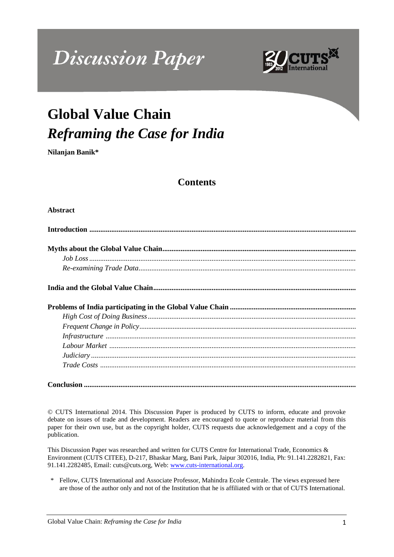# **Discussion Paper**



# **Global Value Chain** *Reframing the Case for India*

**Nilanjan Banik\***

# **Contents**

#### **Abstract**

**Conclusion .....................................................................................................................................................**

© CUTS International 2014. This Discussion Paper is produced by CUTS to inform, educate and provoke debate on issues of trade and development. Readers are encouraged to quote or reproduce material from this paper for their own use, but as the copyright holder, CUTS requests due acknowledgement and a copy of the publication.

This Discussion Paper was researched and written for CUTS Centre for International Trade, Economics & Environment (CUTS CITEE), D-217, Bhaskar Marg, Bani Park, Jaipur 302016, India, Ph: 91.141.2282821, Fax: 91.141.2282485, Email: cuts@cuts.org, Web: [www.cuts-international.org.](http://www.cuts-international.org/)

\* Fellow, CUTS International and Associate Professor, Mahindra Ecole Centrale. The views expressed here are those of the author only and not of the Institution that he is affiliated with or that of CUTS International.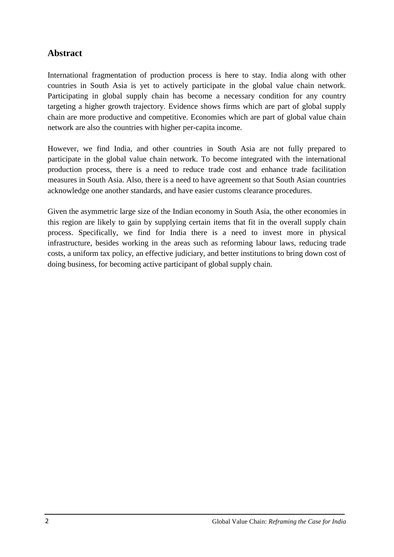# **Abstract**

International fragmentation of production process is here to stay. India along with other countries in South Asia is yet to actively participate in the global value chain network. Participating in global supply chain has become a necessary condition for any country targeting a higher growth trajectory. Evidence shows firms which are part of global supply chain are more productive and competitive. Economies which are part of global value chain network are also the countries with higher per-capita income.

However, we find India, and other countries in South Asia are not fully prepared to participate in the global value chain network. To become integrated with the international production process, there is a need to reduce trade cost and enhance trade facilitation measures in South Asia. Also, there is a need to have agreement so that South Asian countries acknowledge one another standards, and have easier customs clearance procedures.

Given the asymmetric large size of the Indian economy in South Asia, the other economies in this region are likely to gain by supplying certain items that fit in the overall supply chain process. Specifically, we find for India there is a need to invest more in physical infrastructure, besides working in the areas such as reforming labour laws, reducing trade costs, a uniform tax policy, an effective judiciary, and better institutions to bring down cost of doing business, for becoming active participant of global supply chain.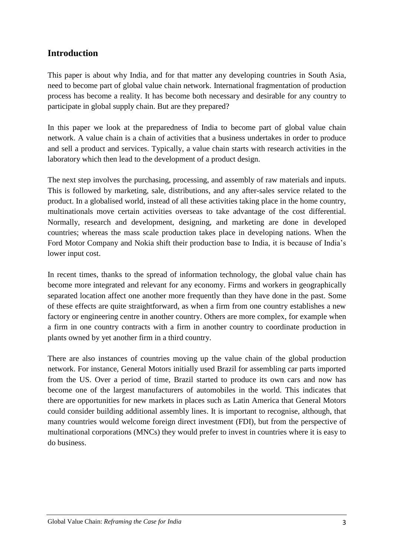# **Introduction**

This paper is about why India, and for that matter any developing countries in South Asia, need to become part of global value chain network. International fragmentation of production process has become a reality. It has become both necessary and desirable for any country to participate in global supply chain. But are they prepared?

In this paper we look at the preparedness of India to become part of global value chain network. A value chain is a chain of activities that a business undertakes in order to produce and sell a product and services. Typically, a value chain starts with research activities in the laboratory which then lead to the development of a product design.

The next step involves the purchasing, processing, and assembly of raw materials and inputs. This is followed by marketing, sale, distributions, and any after-sales service related to the product. In a globalised world, instead of all these activities taking place in the home country, multinationals move certain activities overseas to take advantage of the cost differential. Normally, research and development, designing, and marketing are done in developed countries; whereas the mass scale production takes place in developing nations. When the Ford Motor Company and Nokia shift their production base to India, it is because of India"s lower input cost.

In recent times, thanks to the spread of information technology, the global value chain has become more integrated and relevant for any economy. Firms and workers in geographically separated location affect one another more frequently than they have done in the past. Some of these effects are quite straightforward, as when a firm from one country establishes a new factory or engineering centre in another country. Others are more complex, for example when a firm in one country contracts with a firm in another country to coordinate production in plants owned by yet another firm in a third country.

There are also instances of countries moving up the value chain of the global production network. For instance, General Motors initially used Brazil for assembling car parts imported from the US. Over a period of time, Brazil started to produce its own cars and now has become one of the largest manufacturers of automobiles in the world. This indicates that there are opportunities for new markets in places such as Latin America that General Motors could consider building additional assembly lines. It is important to recognise, although, that many countries would welcome foreign direct investment (FDI), but from the perspective of multinational corporations (MNCs) they would prefer to invest in countries where it is easy to do business.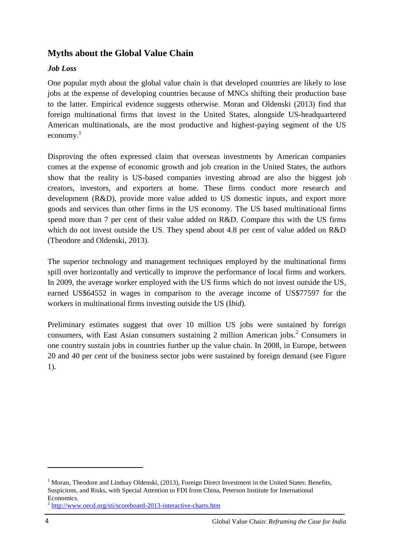# **Myths about the Global Value Chain**

#### *Job Loss*

One popular myth about the global value chain is that developed countries are likely to lose jobs at the expense of developing countries because of MNCs shifting their production base to the latter. Empirical evidence suggests otherwise. Moran and Oldenski (2013) find that foreign multinational firms that invest in the United States, alongside US-headquartered American multinationals, are the most productive and highest-paying segment of the US  $e_{\rm conomv}$ <sup>1</sup>

Disproving the often expressed claim that overseas investments by American companies comes at the expense of economic growth and job creation in the United States, the authors show that the reality is US-based companies investing abroad are also the biggest job creators, investors, and exporters at home. These firms conduct more research and development (R&D), provide more value added to US domestic inputs, and export more goods and services than other firms in the US economy. The US based multinational firms spend more than 7 per cent of their value added on R&D. Compare this with the US firms which do not invest outside the US. They spend about 4.8 per cent of value added on R&D (Theodore and Oldenski, 2013).

The superior technology and management techniques employed by the multinational firms spill over horizontally and vertically to improve the performance of local firms and workers. In 2009, the average worker employed with the US firms which do not invest outside the US, earned US\$64552 in wages in comparison to the average income of US\$77597 for the workers in multinational firms investing outside the US (I*bid*).

Preliminary estimates suggest that over 10 million US jobs were sustained by foreign consumers, with East Asian consumers sustaining 2 million American jobs.<sup>2</sup> Consumers in one country sustain jobs in countries further up the value chain. In 2008, in Europe, between 20 and 40 per cent of the business sector jobs were sustained by foreign demand (see Figure 1).

1

<sup>&</sup>lt;sup>1</sup> Moran, Theodore and Lindsay Oldenski, (2013), Foreign Direct Investment in the United States: Benefits, Suspicions, and Risks, with Special Attention to FDI from China, Peterson Institute for International Economics.

<sup>&</sup>lt;sup>2</sup> <http://www.oecd.org/sti/scoreboard-2013-interactive-charts.htm>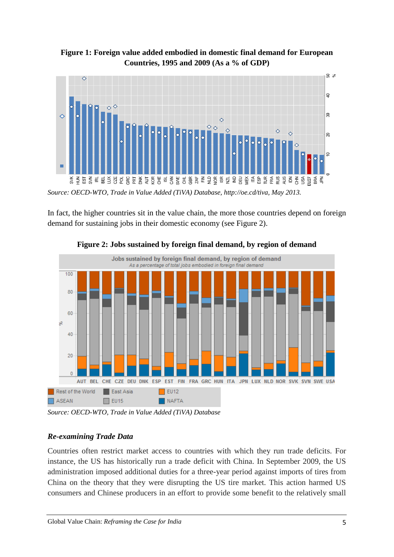**Figure 1: Foreign value added embodied in domestic final demand for European Countries, 1995 and 2009 (As a % of GDP)**



*Source: OECD-WTO, Trade in Value Added (TiVA) Database, http://oe.cd/tiva, May 2013.*

In fact, the higher countries sit in the value chain, the more those countries depend on foreign demand for sustaining jobs in their domestic economy (see Figure 2).



**Figure 2: Jobs sustained by foreign final demand, by region of demand**

*Source: OECD-WTO, Trade in Value Added (TiVA) Database*

#### *Re-examining Trade Data*

Countries often restrict market access to countries with which they run trade deficits. For instance, the US has historically run a trade deficit with China. In September 2009, the US administration imposed additional duties for a three-year period against imports of tires from China on the theory that they were disrupting the US tire market. This action harmed US consumers and Chinese producers in an effort to provide some benefit to the relatively small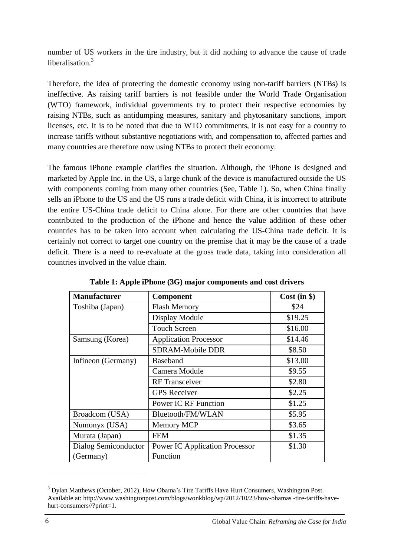number of US workers in the tire industry, but it did nothing to advance the cause of trade liberalisation.<sup>3</sup>

Therefore, the idea of protecting the domestic economy using non-tariff barriers (NTBs) is ineffective. As raising tariff barriers is not feasible under the World Trade Organisation (WTO) framework, individual governments try to protect their respective economies by raising NTBs, such as antidumping measures, sanitary and phytosanitary sanctions, import licenses, etc. It is to be noted that due to WTO commitments, it is not easy for a country to increase tariffs without substantive negotiations with, and compensation to, affected parties and many countries are therefore now using NTBs to protect their economy.

The famous iPhone example clarifies the situation. Although, the iPhone is designed and marketed by Apple Inc. in the US, a large chunk of the device is manufactured outside the US with components coming from many other countries (See, Table 1). So, when China finally sells an iPhone to the US and the US runs a trade deficit with China, it is incorrect to attribute the entire US-China trade deficit to China alone. For there are other countries that have contributed to the production of the iPhone and hence the value addition of these other countries has to be taken into account when calculating the US-China trade deficit. It is certainly not correct to target one country on the premise that it may be the cause of a trade deficit. There is a need to re-evaluate at the gross trade data, taking into consideration all countries involved in the value chain.

| <b>Manufacturer</b>  | Component                             | Cost (in §) |
|----------------------|---------------------------------------|-------------|
| Toshiba (Japan)      | <b>Flash Memory</b>                   | \$24        |
|                      | Display Module                        | \$19.25     |
|                      | <b>Touch Screen</b>                   | \$16.00     |
| Samsung (Korea)      | <b>Application Processor</b>          | \$14.46     |
|                      | <b>SDRAM-Mobile DDR</b>               | \$8.50      |
| Infineon (Germany)   | <b>Baseband</b>                       | \$13.00     |
|                      | Camera Module                         | \$9.55      |
|                      | <b>RF</b> Transceiver                 | \$2.80      |
|                      | <b>GPS</b> Receiver                   | \$2.25      |
|                      | <b>Power IC RF Function</b>           | \$1.25      |
| Broadcom (USA)       | Bluetooth/FM/WLAN                     | \$5.95      |
| Numonyx (USA)        | <b>Memory MCP</b>                     | \$3.65      |
| Murata (Japan)       | <b>FEM</b>                            | \$1.35      |
| Dialog Semiconductor | <b>Power IC Application Processor</b> | \$1.30      |
| (Germany)            | Function                              |             |

**Table 1: Apple iPhone (3G) major components and cost drivers**

<sup>&</sup>lt;sup>3</sup> Dylan Matthews (October, 2012), How Obama's Tire Tariffs Have Hurt Consumers, Washington Post. Available at: http://www.washingtonpost.com/blogs/wonkblog/wp/2012/10/23/how-obamas -tire-tariffs-havehurt-consumers//?print=1.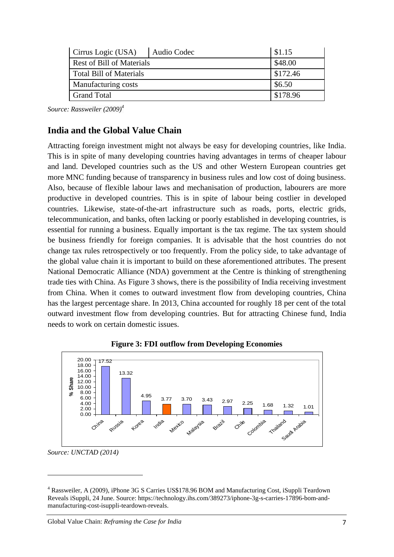| Cirrus Logic (USA)               | Audio Codec | \$1.15   |
|----------------------------------|-------------|----------|
| <b>Rest of Bill of Materials</b> |             | \$48.00  |
| <b>Total Bill of Materials</b>   |             | \$172.46 |
| Manufacturing costs              |             | \$6.50   |
| <b>Grand Total</b>               |             | \$178.96 |

*Source: Rassweiler (2009)<sup>4</sup>*

### **India and the Global Value Chain**

Attracting foreign investment might not always be easy for developing countries, like India. This is in spite of many developing countries having advantages in terms of cheaper labour and land. Developed countries such as the US and other Western European countries get more MNC funding because of transparency in business rules and low cost of doing business. Also, because of flexible labour laws and mechanisation of production, labourers are more productive in developed countries. This is in spite of labour being costlier in developed countries. Likewise, state-of-the-art infrastructure such as roads, ports, electric grids, telecommunication, and banks, often lacking or poorly established in developing countries, is essential for running a business. Equally important is the tax regime. The tax system should be business friendly for foreign companies. It is advisable that the host countries do not change tax rules retrospectively or too frequently. From the policy side, to take advantage of the global value chain it is important to build on these aforementioned attributes. The present National Democratic Alliance (NDA) government at the Centre is thinking of strengthening trade ties with China. As Figure 3 shows, there is the possibility of India receiving investment from China. When it comes to outward investment flow from developing countries, China has the largest percentage share. In 2013, China accounted for roughly 18 per cent of the total outward investment flow from developing countries. But for attracting Chinese fund, India needs to work on certain domestic issues.





*Source: UNCTAD (2014)*

<sup>4</sup> Rassweiler, A (2009), [iPhone 3G S Carries US\\$178.96 BOM and Manufacturing Cost, iSuppli Teardown](http://www.isuppli.com/Teardowns-Manufacturing-and-Pricing/News/Pages/iPhone-3G-S-Carries-178-96-BOM-and-Manufacturing-Cost-iSuppli-Teardown-Reveals.aspx)  [Reveals](http://www.isuppli.com/Teardowns-Manufacturing-and-Pricing/News/Pages/iPhone-3G-S-Carries-178-96-BOM-and-Manufacturing-Cost-iSuppli-Teardown-Reveals.aspx) iSuppli, 24 June. Source: https://technology.ihs.com/389273/iphone-3g-s-carries-17896-bom-andmanufacturing-cost-isuppli-teardown-reveals.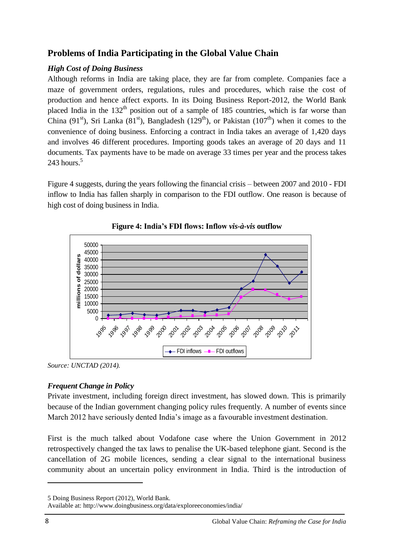# **Problems of India Participating in the Global Value Chain**

### *High Cost of Doing Business*

Although reforms in India are taking place, they are far from complete. Companies face a maze of government orders, regulations, rules and procedures, which raise the cost of production and hence affect exports. In its Doing Business Report-2012, the World Bank placed India in the  $132<sup>th</sup>$  position out of a sample of 185 countries, which is far worse than China (91<sup>st</sup>), Sri Lanka (81<sup>st</sup>), Bangladesh (129<sup>th</sup>), or Pakistan (107<sup>th</sup>) when it comes to the convenience of doing business. Enforcing a contract in India takes an average of 1,420 days and involves 46 different procedures. Importing goods takes an average of 20 days and 11 documents. Tax payments have to be made on average 33 times per year and the process takes  $243$  hours.<sup>5</sup>

Figure 4 suggests, during the years following the financial crisis – between 2007 and 2010 - FDI inflow to India has fallen sharply in comparison to the FDI outflow. One reason is because of high cost of doing business in India.





*Source: UNCTAD (2014).*

#### *Frequent Change in Policy*

Private investment, including foreign direct investment, has slowed down. This is primarily because of the Indian government changing policy rules frequently. A number of events since March 2012 have seriously dented India"s image as a favourable investment destination.

First is the much talked about Vodafone case where the Union Government in 2012 retrospectively changed the tax laws to penalise the UK-based telephone giant. Second is the cancellation of 2G mobile licences, sending a clear signal to the international business community about an uncertain policy environment in India. Third is the introduction of

<sup>5</sup> Doing Business Report (2012), World Bank.

Available at: http://www.doingbusiness.org/data/exploreeconomies/india/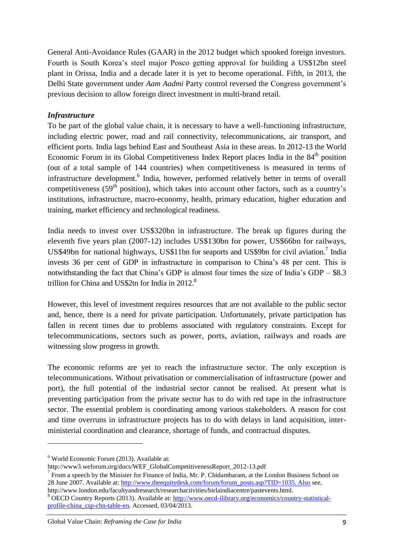General Anti-Avoidance Rules (GAAR) in the 2012 budget which spooked foreign investors. Fourth is South Korea"s steel major Posco getting approval for building a US\$12bn steel plant in Orissa, India and a decade later it is yet to become operational. Fifth, in 2013, the Delhi State government under *Aam Aadmi* Party control reversed the Congress government"s previous decision to allow foreign direct investment in multi-brand retail.

#### *Infrastructure*

To be part of the global value chain, it is necessary to have a well-functioning infrastructure, including electric power, road and rail connectivity, telecommunications, air transport, and efficient ports. India lags behind East and Southeast Asia in these areas. In 2012-13 the World Economic Forum in its Global Competitiveness Index Report places India in the  $84<sup>th</sup>$  position (out of a total sample of 144 countries) when competitiveness is measured in terms of infrastructure development.<sup>6</sup> India, however, performed relatively better in terms of overall competitiveness ( $59<sup>th</sup>$  position), which takes into account other factors, such as a country's institutions, infrastructure, macro-economy, health, primary education, higher education and training, market efficiency and technological readiness.

India needs to invest over US\$320bn in infrastructure. The break up figures during the eleventh five years plan (2007-12) includes US\$130bn for power, US\$66bn for railways, US\$49bn for national highways, US\$11bn for seaports and US\$9bn for civil aviation.<sup>7</sup> India invests 36 per cent of GDP in infrastructure in comparison to China"s 48 per cent. This is notwithstanding the fact that China's GDP is almost four times the size of India's GDP – \$8.3 trillion for China and US\$2tn for India in 2012.<sup>8</sup>

However, this level of investment requires resources that are not available to the public sector and, hence, there is a need for private participation. Unfortunately, private participation has fallen in recent times due to problems associated with regulatory constraints. Except for telecommunications, sectors such as power, ports, aviation, railways and roads are witnessing slow progress in growth.

The economic reforms are yet to reach the infrastructure sector. The only exception is telecommunications. Without privatisation or commercialisation of infrastructure (power and port), the full potential of the industrial sector cannot be realised. At present what is preventing participation from the private sector has to do with red tape in the infrastructure sector. The essential problem is coordinating among various stakeholders. A reason for cost and time overruns in infrastructure projects has to do with delays in land acquisition, interministerial coordination and clearance, shortage of funds, and contractual disputes.

1

 $6$  World Economic Forum (2013). Available at:

http://www3.weforum.org/docs/WEF\_GlobalCompetitivenessReport\_2012-13.pdf

<sup>7</sup> From a speech by the Minister for Finance of India, Mr. P. Chidambaram, at the London Business School on 28 June 2007. Available at: [http://www.theequitydesk.com/forum/forum\\_posts.asp?TID=1035. Also](http://www.theequitydesk.com/forum/forum_posts.asp?TID=1035.%20Also) see, http://www.london.edu/facultyandresearch/researchactivities/birlaindiacentre/pastevents.html.

<sup>8</sup> OECD Country Reports (2013). Available at: [http://www.oecd-ilibrary.org/economics/country-statistical](http://www.oecd-ilibrary.org/economics/country-statistical-profile-china_csp-chn-table-en)[profile-china\\_csp-chn-table-en.](http://www.oecd-ilibrary.org/economics/country-statistical-profile-china_csp-chn-table-en) Accessed, 03/04/2013.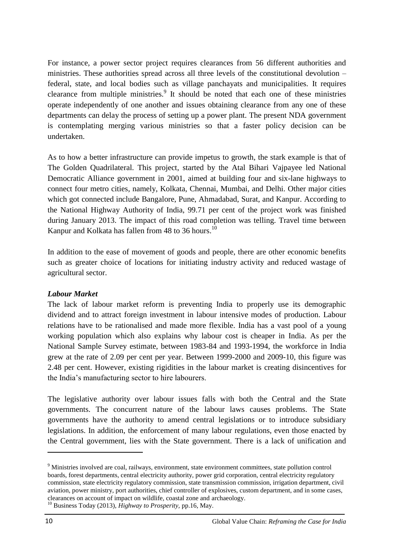For instance, a power sector project requires clearances from 56 different authorities and ministries. These authorities spread across all three levels of the constitutional devolution – federal, state, and local bodies such as village panchayats and municipalities. It requires clearance from multiple ministries.<sup>9</sup> It should be noted that each one of these ministries operate independently of one another and issues obtaining clearance from any one of these departments can delay the process of setting up a power plant. The present NDA government is contemplating merging various ministries so that a faster policy decision can be undertaken.

As to how a better infrastructure can provide impetus to growth, the stark example is that of The Golden Quadrilateral. This project, started by the Atal Bihari Vajpayee led National Democratic Alliance government in 2001, aimed at building four and six-lane highways to connect four metro cities, namely, Kolkata, Chennai, Mumbai, and Delhi. Other major cities which got connected include Bangalore, Pune, Ahmadabad, Surat, and Kanpur. According to the National Highway Authority of India, 99.71 per cent of the project work was finished during January 2013. The impact of this road completion was telling. Travel time between Kanpur and Kolkata has fallen from 48 to 36 hours.<sup>10</sup>

In addition to the ease of movement of goods and people, there are other economic benefits such as greater choice of locations for initiating industry activity and reduced wastage of agricultural sector.

#### *Labour Market*

The lack of labour market reform is preventing India to properly use its demographic dividend and to attract foreign investment in labour intensive modes of production. Labour relations have to be rationalised and made more flexible. India has a vast pool of a young working population which also explains why labour cost is cheaper in India. As per the National Sample Survey estimate, between 1983-84 and 1993-1994, the workforce in India grew at the rate of 2.09 per cent per year. Between 1999-2000 and 2009-10, this figure was 2.48 per cent. However, existing rigidities in the labour market is creating disincentives for the India"s manufacturing sector to hire labourers.

The legislative authority over labour issues falls with both the Central and the State governments. The concurrent nature of the labour laws causes problems. The State governments have the authority to amend central legislations or to introduce subsidiary legislations. In addition, the enforcement of many labour regulations, even those enacted by the Central government, lies with the State government. There is a lack of unification and

<sup>&</sup>lt;sup>9</sup> Ministries involved are coal, railways, environment, state environment committees, state pollution control boards, forest departments, central electricity authority, power grid corporation, central electricity regulatory commission, state electricity regulatory commission, state transmission commission, irrigation department, civil aviation, power ministry, port authorities, chief controller of explosives, custom department, and in some cases, clearances on account of impact on wildlife, coastal zone and archaeology.

<sup>10</sup> Business Today (2013), *Highway to Prosperity,* pp.16, May.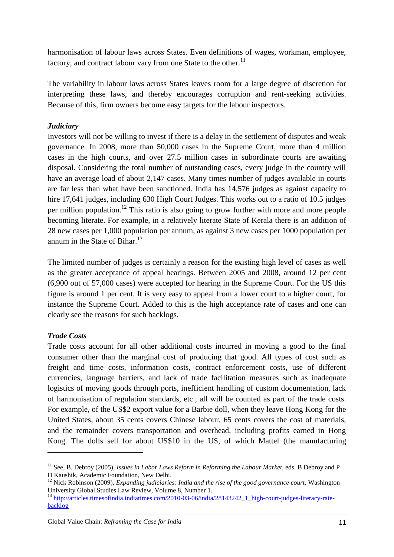harmonisation of labour laws across States. Even definitions of wages, workman, employee, factory, and contract labour vary from one State to the other.<sup>11</sup>

The variability in labour laws across States leaves room for a large degree of discretion for interpreting these laws, and thereby encourages corruption and rent-seeking activities. Because of this, firm owners become easy targets for the labour inspectors.

#### *Judiciary*

Investors will not be willing to invest if there is a delay in the settlement of disputes and weak governance. In 2008, more than 50,000 cases in the Supreme Court, more than 4 million cases in the high courts, and over 27.5 million cases in subordinate courts are awaiting disposal. Considering the total number of outstanding cases, every judge in the country will have an average load of about 2,147 cases. Many times number of judges available in courts are far less than what have been sanctioned. India has 14,576 judges as against capacity to hire 17,641 judges, including 630 High Court Judges. This works out to a ratio of 10.5 judges per million population.<sup>12</sup> This ratio is also going to grow further with more and more people becoming literate. For example, in a relatively literate State of Kerala there is an addition of 28 new cases per 1,000 population per annum, as against 3 new cases per 1000 population per annum in the State of Bihar. $^{13}$ 

The limited number of judges is certainly a reason for the existing high level of cases as well as the greater acceptance of appeal hearings. Between 2005 and 2008, around 12 per cent (6,900 out of 57,000 cases) were accepted for hearing in the Supreme Court. For the US this figure is around 1 per cent. It is very easy to appeal from a lower court to a higher court, for instance the Supreme Court. Added to this is the high acceptance rate of cases and one can clearly see the reasons for such backlogs.

#### *Trade Costs*

**.** 

Trade costs account for all other additional costs incurred in moving a good to the final consumer other than the marginal cost of producing that good. All types of cost such as freight and time costs, information costs, contract enforcement costs, use of different currencies, language barriers, and lack of trade facilitation measures such as inadequate logistics of moving goods through ports, inefficient handling of custom documentation, lack of harmonisation of regulation standards, etc., all will be counted as part of the trade costs. For example, of the US\$2 export value for a Barbie doll, when they leave Hong Kong for the United States, about 35 cents covers Chinese labour, 65 cents covers the cost of materials, and the remainder covers transportation and overhead, including profits earned in Hong Kong. The dolls sell for about US\$10 in the US, of which Mattel (the manufacturing

<sup>&</sup>lt;sup>11</sup> See, B. Debroy (2005), *Issues in Labor Laws Reform in Reforming the Labour Market*, eds. B Debroy and P D Kaushik, Academic Foundation, New Delhi.

<sup>&</sup>lt;sup>12</sup> Nick Robinson (2009), *Expanding judiciaries: India and the rise of the good governance court*, Washington University Global Studies Law Review, Volume 8, Number 1.

<sup>&</sup>lt;sup>13</sup> [http://articles.timesofindia.indiatimes.com/2010-03-06/india/28143242\\_1\\_high-court-judges-literacy-rate](http://articles.timesofindia.indiatimes.com/2010-03-06/india/28143242_1_high-court-judges-literacy-rate-backlog)[backlog](http://articles.timesofindia.indiatimes.com/2010-03-06/india/28143242_1_high-court-judges-literacy-rate-backlog)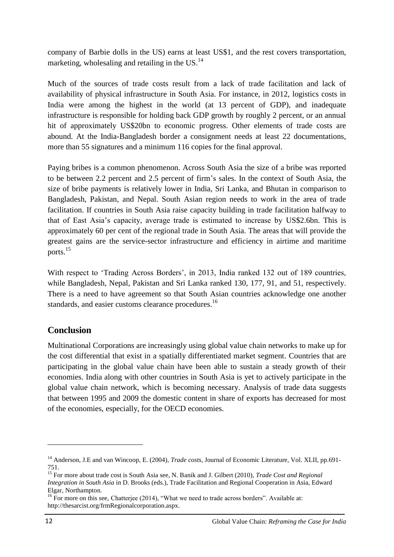company of Barbie dolls in the US) earns at least US\$1, and the rest covers transportation, marketing, wholesaling and retailing in the US.<sup>14</sup>

Much of the sources of trade costs result from a lack of trade facilitation and lack of availability of physical infrastructure in South Asia. For instance, in 2012, logistics costs in India were among the highest in the world (at 13 percent of GDP), and inadequate infrastructure is responsible for holding back GDP growth by roughly 2 percent, or an annual hit of approximately US\$20bn to economic progress. Other elements of trade costs are abound. At the India-Bangladesh border a consignment needs at least 22 documentations, more than 55 signatures and a minimum 116 copies for the final approval.

Paying bribes is a common phenomenon. Across South Asia the size of a bribe was reported to be between 2.2 percent and 2.5 percent of firm"s sales. In the context of South Asia, the size of bribe payments is relatively lower in India, Sri Lanka, and Bhutan in comparison to Bangladesh, Pakistan, and Nepal. South Asian region needs to work in the area of trade facilitation. If countries in South Asia raise capacity building in trade facilitation halfway to that of East Asia"s capacity, average trade is estimated to increase by US\$2.6bn. This is approximately 60 per cent of the regional trade in South Asia. The areas that will provide the greatest gains are the service-sector infrastructure and efficiency in airtime and maritime ports.<sup>15</sup>

With respect to 'Trading Across Borders', in 2013, India ranked 132 out of 189 countries, while Bangladesh, Nepal, Pakistan and Sri Lanka ranked 130, 177, 91, and 51, respectively. There is a need to have agreement so that South Asian countries acknowledge one another standards, and easier customs clearance procedures.<sup>16</sup>

#### **Conclusion**

Multinational Corporations are increasingly using global value chain networks to make up for the cost differential that exist in a spatially differentiated market segment. Countries that are participating in the global value chain have been able to sustain a steady growth of their economies. India along with other countries in South Asia is yet to actively participate in the global value chain network, which is becoming necessary. Analysis of trade data suggests that between 1995 and 2009 the domestic content in share of exports has decreased for most of the economies, especially, for the OECD economies.

<sup>&</sup>lt;sup>14</sup> Anderson, J.E and van Wincoop, E. (2004), *Trade costs*, Journal of Economic Literature, Vol. XLII, pp.691-751.

<sup>15</sup> For more about trade cost is South Asia see, N. Banik and J. Gilbert (2010), *Trade Cost and Regional Integration in South Asia* in D. Brooks (eds.), Trade Facilitation and Regional Cooperation in Asia, Edward Elgar, Northampton.

<sup>&</sup>lt;sup>16</sup> For more on this see, Chatteriee (2014), "What we need to trade across borders". Available at: http://thesarcist.org/frmRegionalcorporation.aspx.